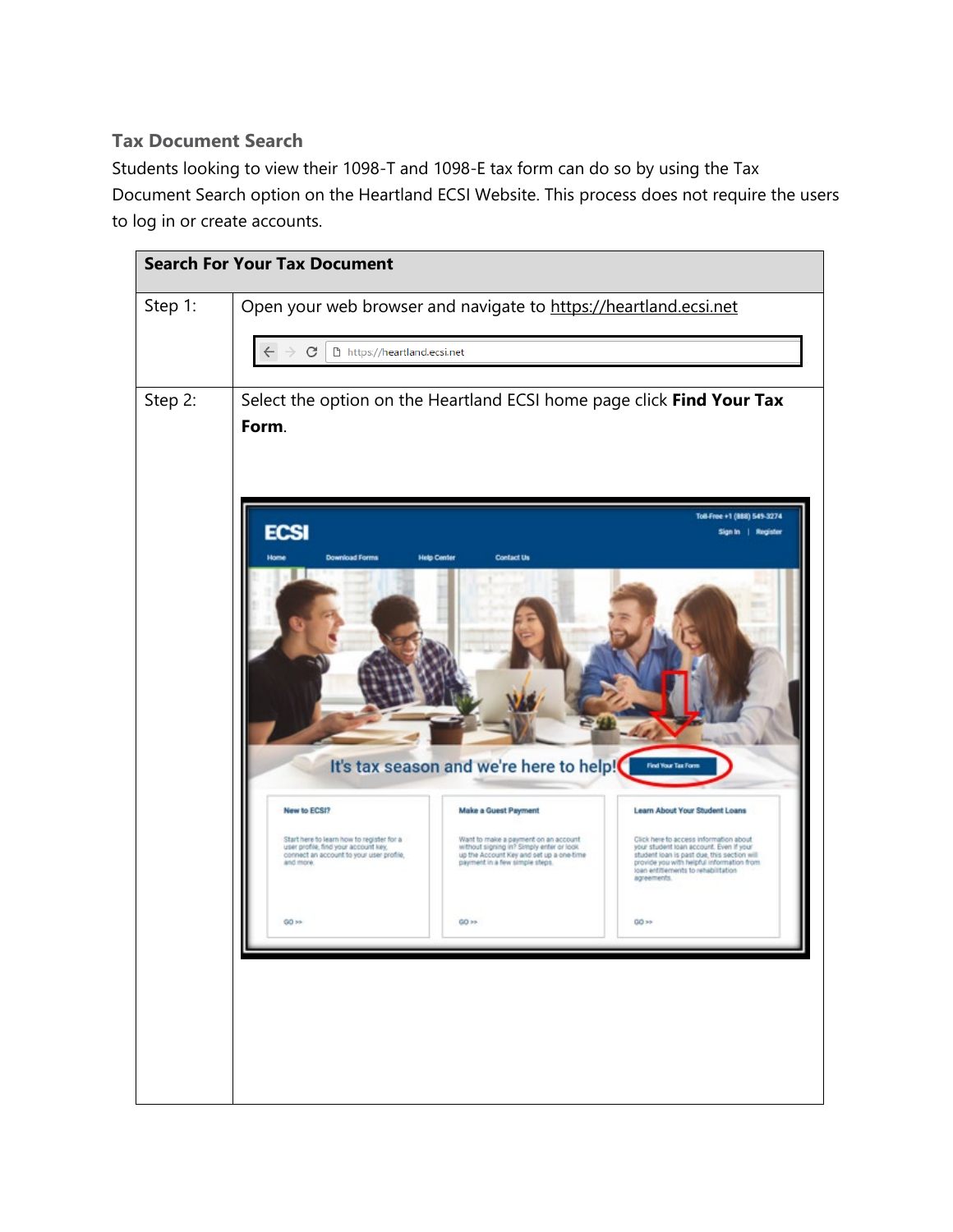## **Tax Document Search**

Students looking to view their 1098-T and 1098-E tax form can do so by using the Tax Document Search option on the Heartland ECSI Website. This process does not require the users to log in or create accounts.

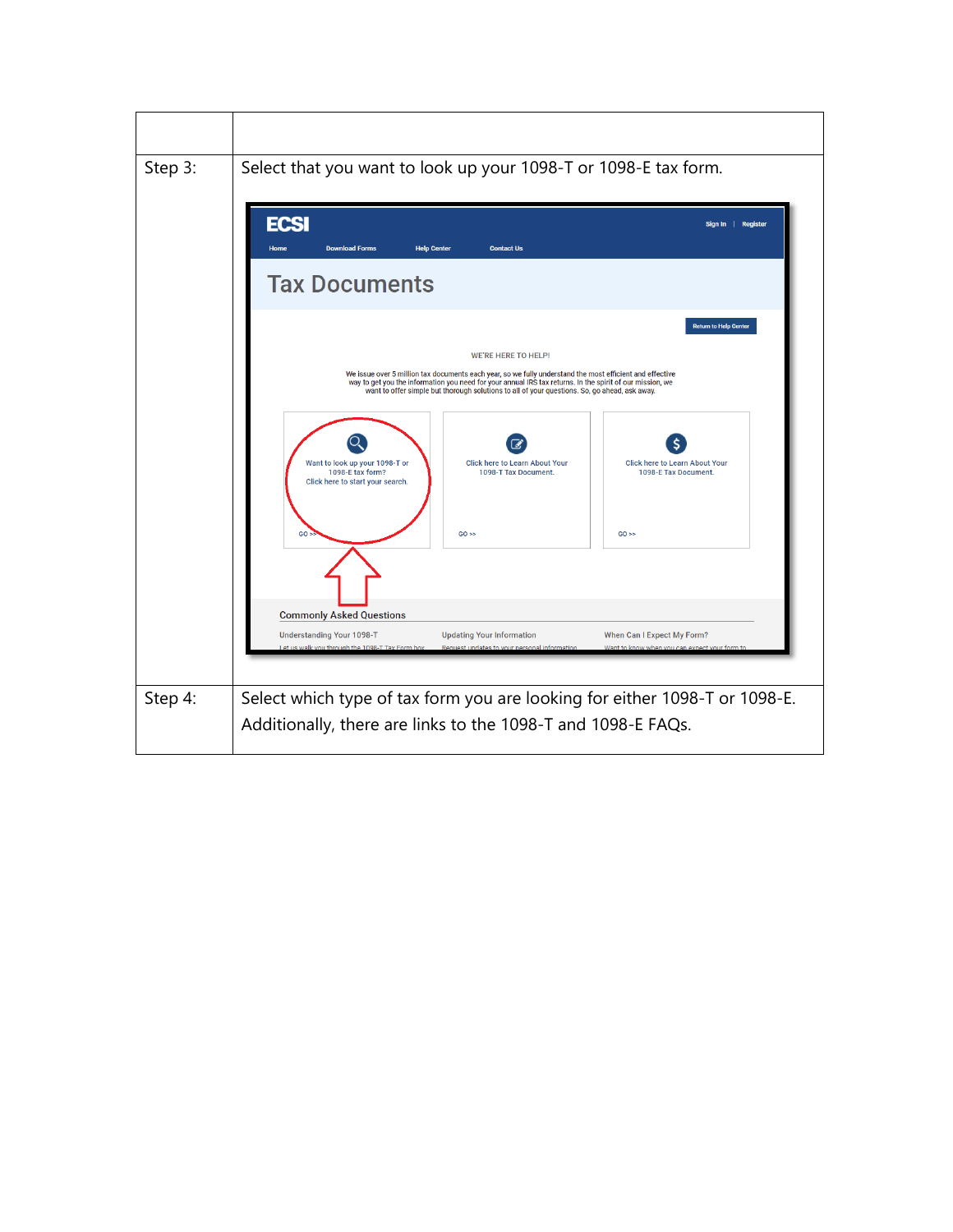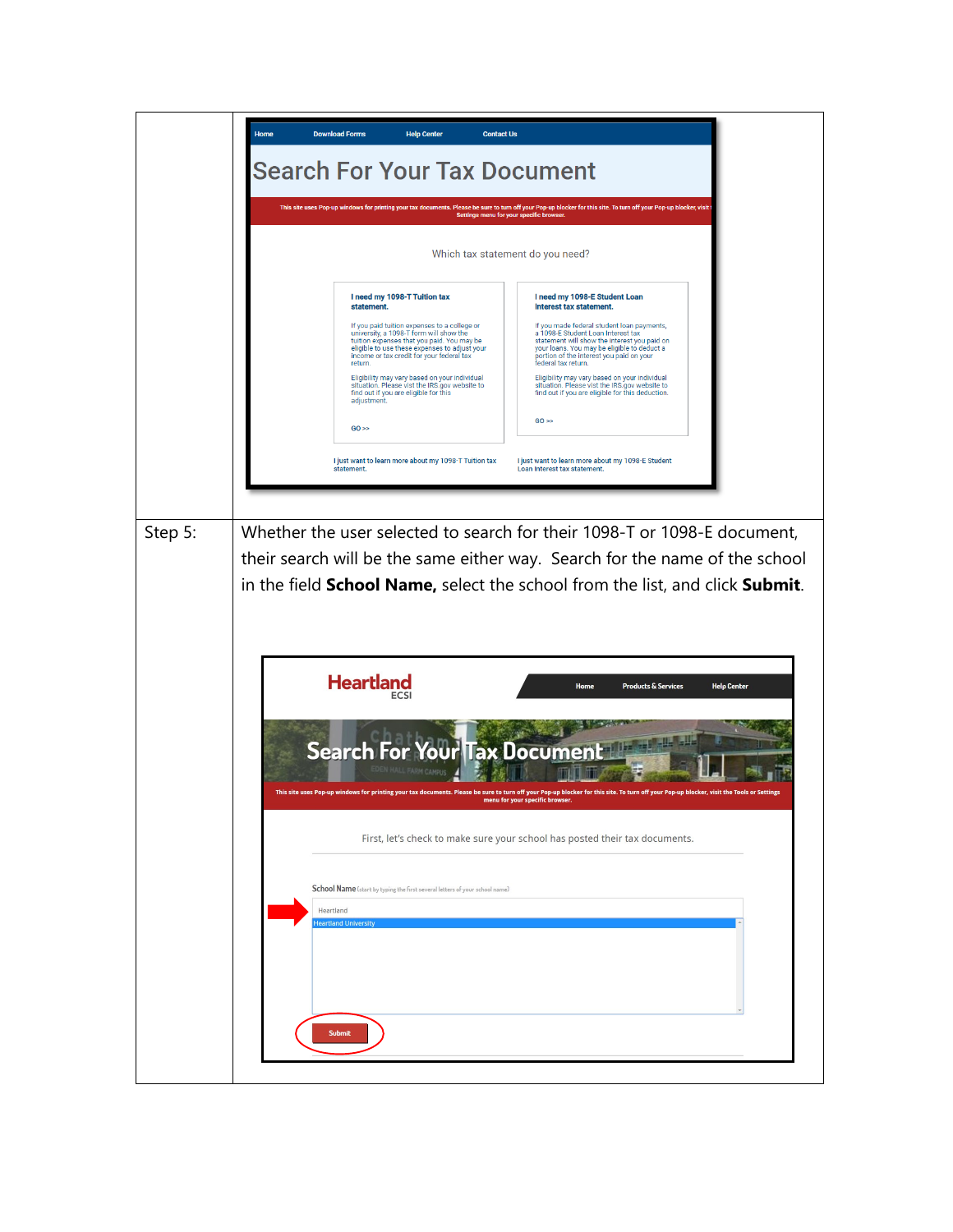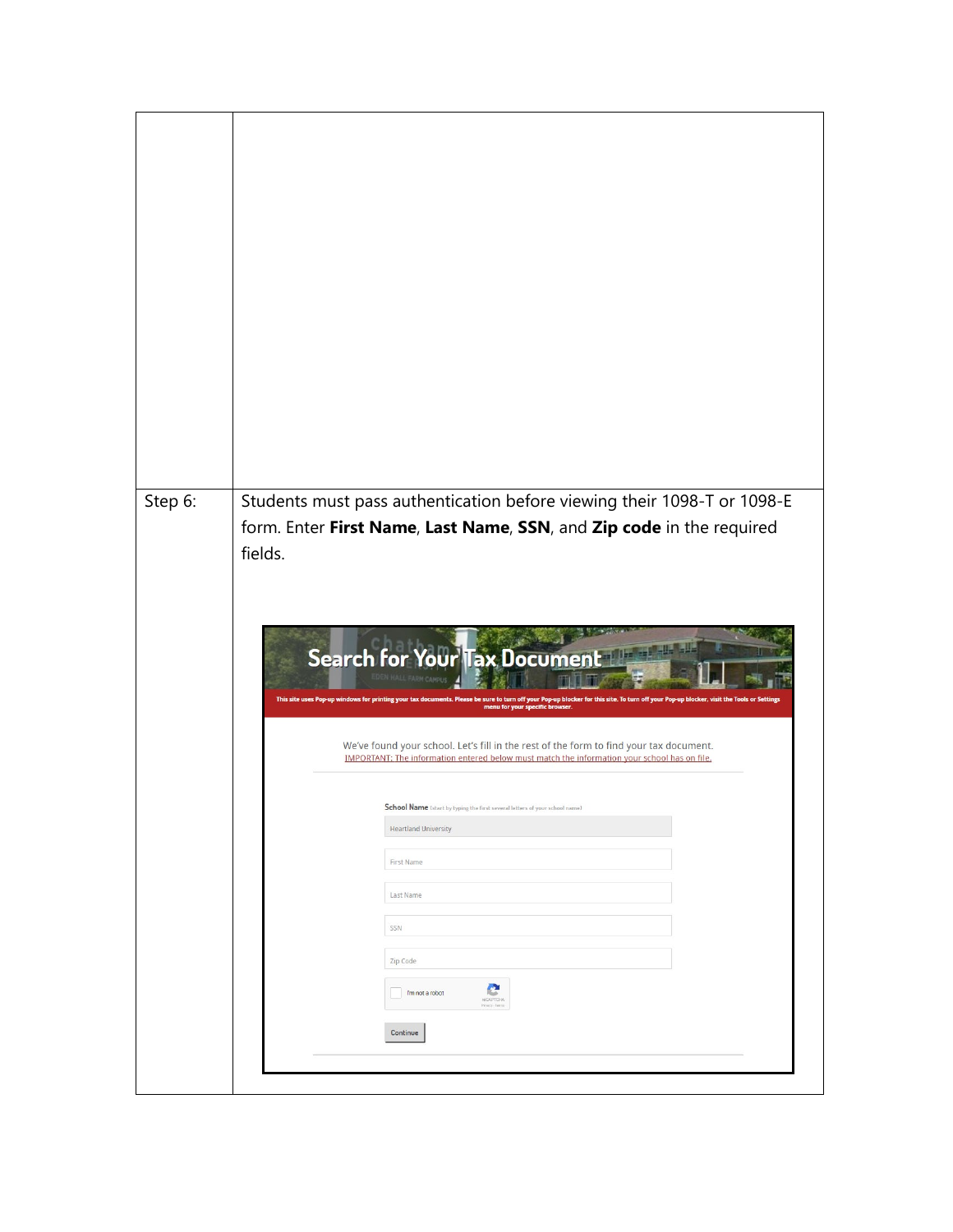| Step 6: | Students must pass authentication before viewing their 1098-T or 1098-E                                                                                                                          |
|---------|--------------------------------------------------------------------------------------------------------------------------------------------------------------------------------------------------|
|         | form. Enter First Name, Last Name, SSN, and Zip code in the required<br>fields.                                                                                                                  |
|         |                                                                                                                                                                                                  |
|         |                                                                                                                                                                                                  |
|         | <b>Search for Your Tax Document</b>                                                                                                                                                              |
|         | This site uses Pop-up windows for printing your tax documents. Please be sure to turn off your Pop-up blocker for this site. To turn off your Pop-up blocker,<br>menu for your specific browser. |
|         |                                                                                                                                                                                                  |
|         | We've found your school. Let's fill in the rest of the form to find your tax document.<br>IMPORTANT: The information entered below must match the information your school has on file.           |
|         | School Name (start by typing the first several letters of your school name)                                                                                                                      |
|         | <b>Heartland University</b>                                                                                                                                                                      |
|         | First Name                                                                                                                                                                                       |
|         | Last Name                                                                                                                                                                                        |
|         | SSN                                                                                                                                                                                              |
|         | Zip Code<br>e<br>I'm not a robot                                                                                                                                                                 |
|         |                                                                                                                                                                                                  |
|         | Continue                                                                                                                                                                                         |
|         |                                                                                                                                                                                                  |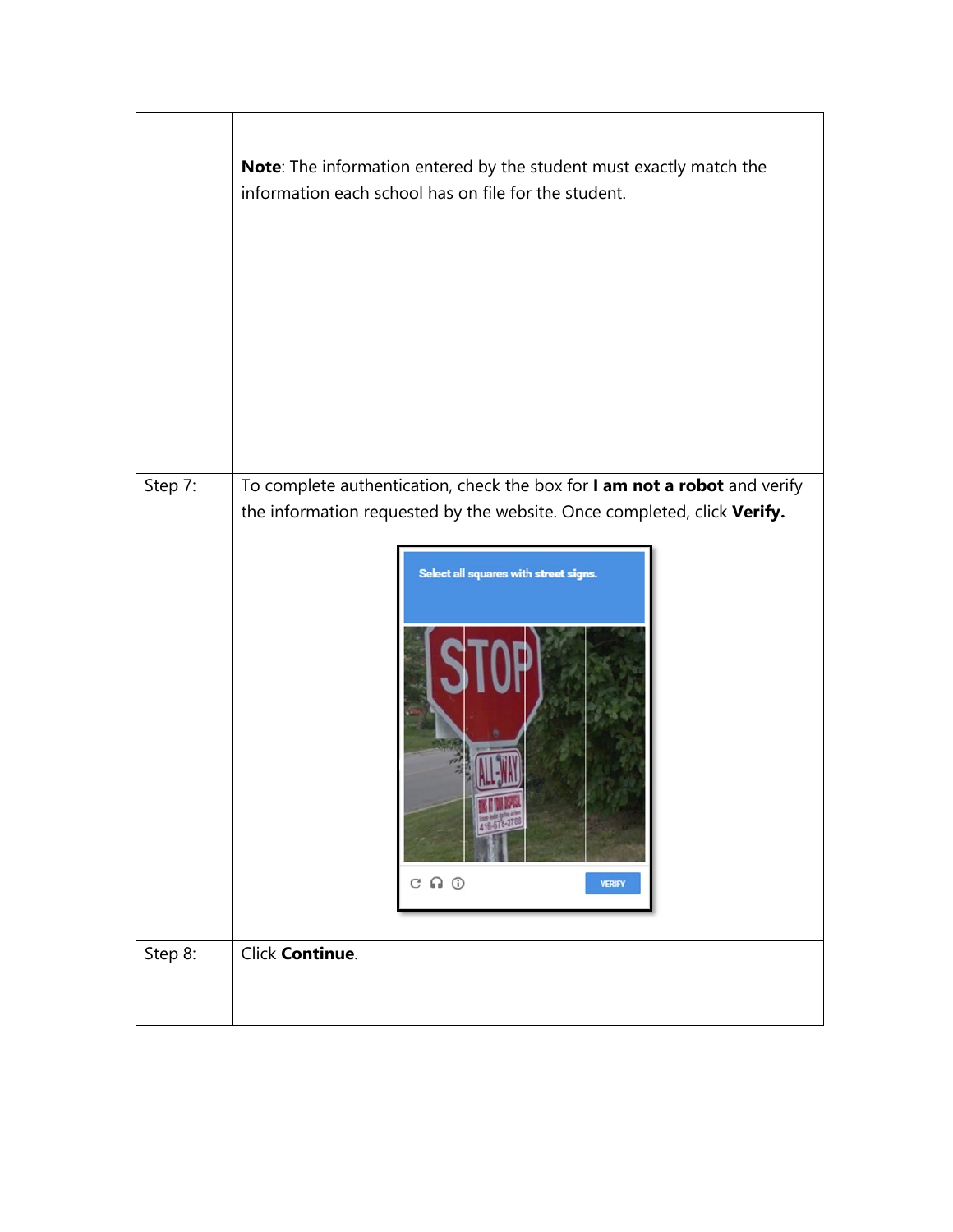